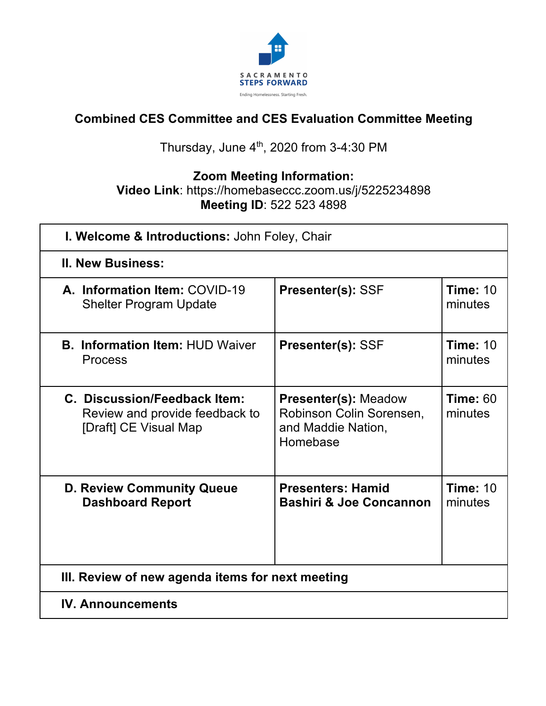

#### **Combined CES Committee and CES Evaluation Committee Meeting**

#### Thursday, June  $4<sup>th</sup>$ , 2020 from 3-4:30 PM

## **Zoom Meeting Information:**

#### **Video Link**: https://homebaseccc.zoom.us/j/5225234898 **Meeting ID**: 522 523 4898

| I. Welcome & Introductions: John Foley, Chair                                           |                                                                                           |                            |  |  |  |
|-----------------------------------------------------------------------------------------|-------------------------------------------------------------------------------------------|----------------------------|--|--|--|
| <b>II. New Business:</b>                                                                |                                                                                           |                            |  |  |  |
| A. Information Item: COVID-19<br><b>Shelter Program Update</b>                          | <b>Presenter(s): SSF</b>                                                                  | <b>Time: 10</b><br>minutes |  |  |  |
| <b>B. Information Item: HUD Waiver</b><br><b>Process</b>                                | <b>Presenter(s): SSF</b>                                                                  | <b>Time: 10</b><br>minutes |  |  |  |
| C. Discussion/Feedback Item:<br>Review and provide feedback to<br>[Draft] CE Visual Map | <b>Presenter(s): Meadow</b><br>Robinson Colin Sorensen,<br>and Maddie Nation,<br>Homebase | <b>Time: 60</b><br>minutes |  |  |  |
| <b>D. Review Community Queue</b><br><b>Dashboard Report</b>                             | <b>Presenters: Hamid</b><br><b>Bashiri &amp; Joe Concannon</b>                            | <b>Time: 10</b><br>minutes |  |  |  |
| III. Review of new agenda items for next meeting                                        |                                                                                           |                            |  |  |  |
| <b>IV. Announcements</b>                                                                |                                                                                           |                            |  |  |  |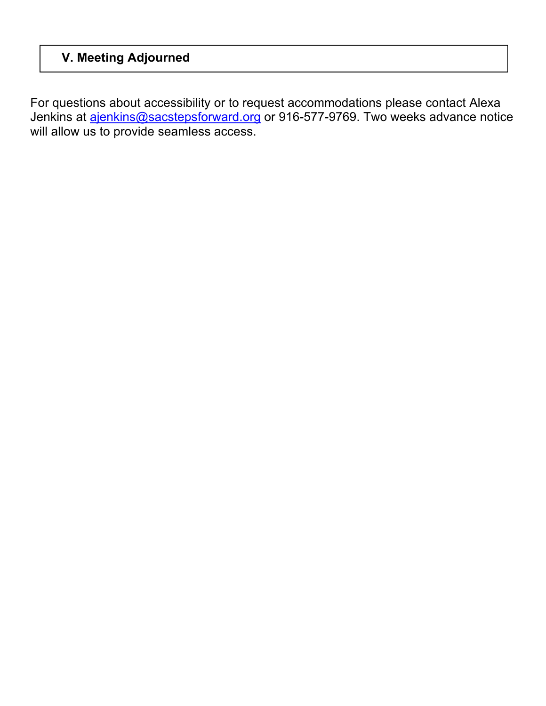#### **V. Meeting Adjourned**

For questions about accessibility or to request accommodations please contact Alexa Jenkins at **ajenkins@sacstepsforward.org** or 916-577-9769. Two weeks advance notice will allow us to provide seamless access.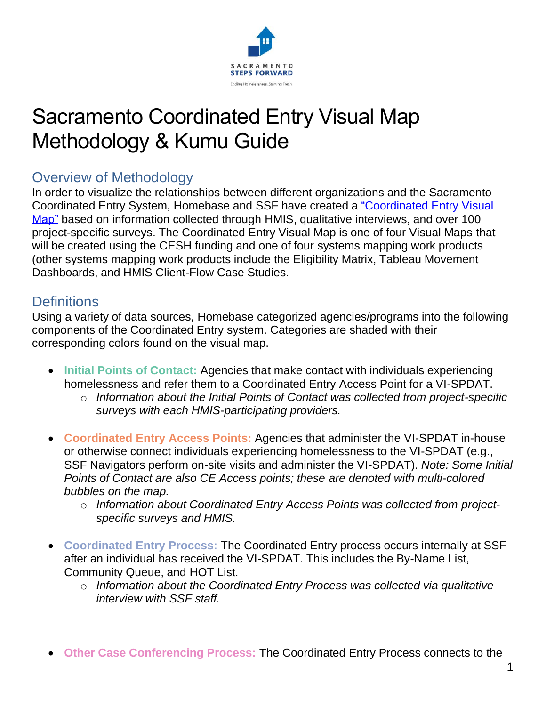

## Sacramento Coordinated Entry Visual Map Methodology & Kumu Guide

#### Overview of Methodology

In order to visualize the relationships between different organizations and the Sacramento Coordinated Entry System, Homebase and SSF have created a ["Coordinated Entry Visual](https://kumu.io/maddie-homebase/sacramento-coordinated-entry-map#ce-map)  [Map"](https://kumu.io/maddie-homebase/sacramento-coordinated-entry-map#ce-map) based on information collected through HMIS, qualitative interviews, and over 100 project-specific surveys. The Coordinated Entry Visual Map is one of four Visual Maps that will be created using the CESH funding and one of four systems mapping work products (other systems mapping work products include the Eligibility Matrix, Tableau Movement Dashboards, and HMIS Client-Flow Case Studies.

#### **Definitions**

Using a variety of data sources, Homebase categorized agencies/programs into the following components of the Coordinated Entry system. Categories are shaded with their corresponding colors found on the visual map.

- **Initial Points of Contact:** Agencies that make contact with individuals experiencing homelessness and refer them to a Coordinated Entry Access Point for a VI-SPDAT.
	- o *Information about the Initial Points of Contact was collected from project-specific surveys with each HMIS-participating providers.*
- **Coordinated Entry Access Points:** Agencies that administer the VI-SPDAT in-house or otherwise connect individuals experiencing homelessness to the VI-SPDAT (e.g., SSF Navigators perform on-site visits and administer the VI-SPDAT). *Note: Some Initial Points of Contact are also CE Access points; these are denoted with multi-colored bubbles on the map.*
	- o *Information about Coordinated Entry Access Points was collected from projectspecific surveys and HMIS.*
- **Coordinated Entry Process:** The Coordinated Entry process occurs internally at SSF after an individual has received the VI-SPDAT. This includes the By-Name List, Community Queue, and HOT List.
	- o *Information about the Coordinated Entry Process was collected via qualitative interview with SSF staff.*
- **Other Case Conferencing Process:** The Coordinated Entry Process connects to the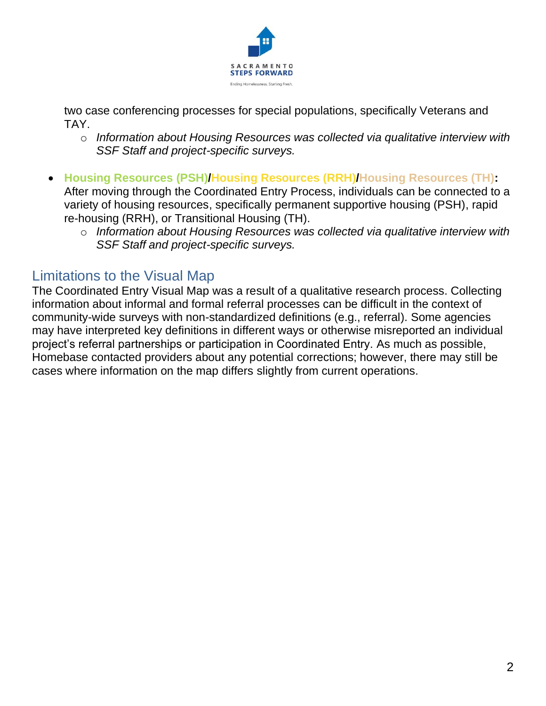

two case conferencing processes for special populations, specifically Veterans and TAY.

- o *Information about Housing Resources was collected via qualitative interview with SSF Staff and project-specific surveys.*
- **Housing Resources (PSH)/Housing Resources (RRH)/Housing Resources (TH):** After moving through the Coordinated Entry Process, individuals can be connected to a variety of housing resources, specifically permanent supportive housing (PSH), rapid re-housing (RRH), or Transitional Housing (TH).
	- o *Information about Housing Resources was collected via qualitative interview with SSF Staff and project-specific surveys.*

#### Limitations to the Visual Map

The Coordinated Entry Visual Map was a result of a qualitative research process. Collecting information about informal and formal referral processes can be difficult in the context of community-wide surveys with non-standardized definitions (e.g., referral). Some agencies may have interpreted key definitions in different ways or otherwise misreported an individual project's referral partnerships or participation in Coordinated Entry. As much as possible, Homebase contacted providers about any potential corrections; however, there may still be cases where information on the map differs slightly from current operations.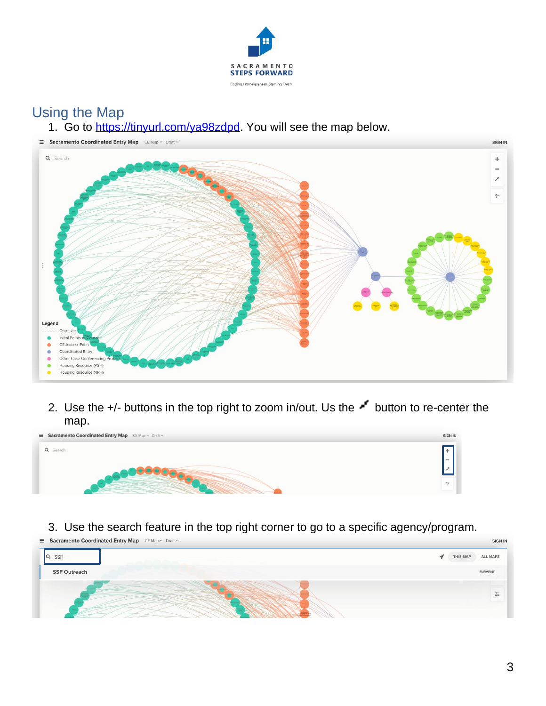

### Using the Map

1. Go to [https://tinyurl.com/ya98zdpd.](https://tinyurl.com/ya98zdpd) You will see the map below.



2. Use the +/- buttons in the top right to zoom in/out. Us the  $\blacktriangleright$  button to re-center the map.



#### 3. Use the search feature in the top right corner to go to a specific agency/program.

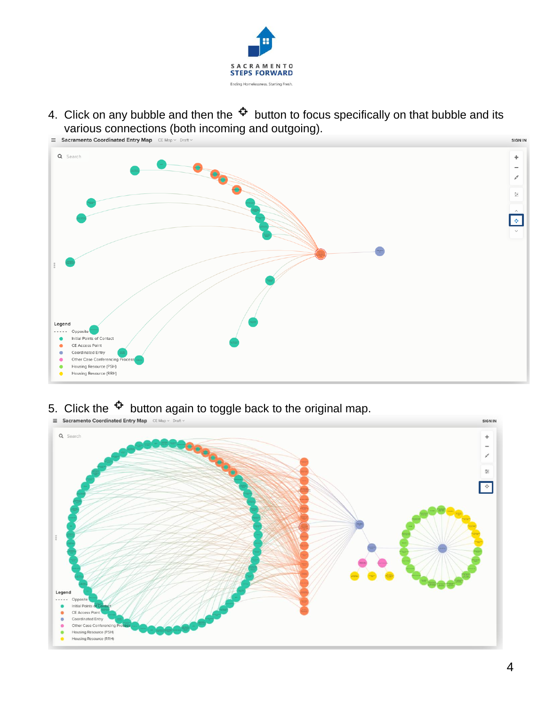

4. Click on any bubble and then the  $\mathfrak{P}$  button to focus specifically on that bubble and its various connections (both incoming and outgoing).



# 5. Click the  $\Phi$  button again to toggle back to the original map.

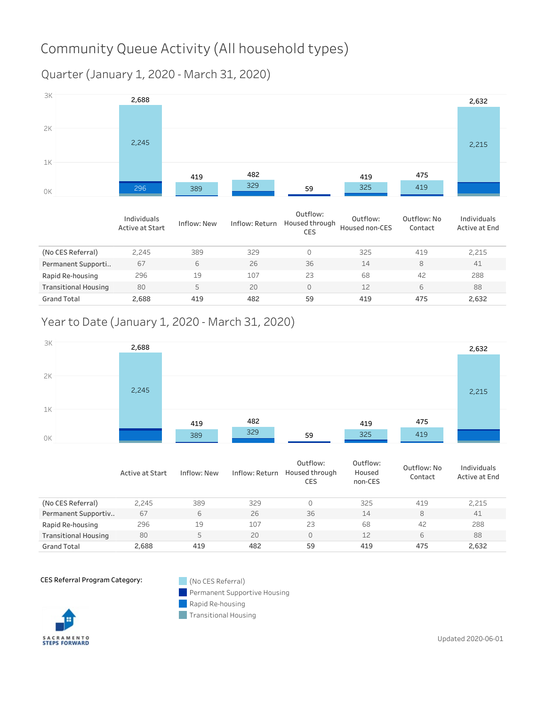## Community Queue Activity (All household types)

Quarter(January1,2020-March31,2020)



|                             | Individuals<br>Active at Start | Inflow: New | Inflow: Return | Outflow:<br>Housed through<br><b>CES</b> | Outflow:<br>Housed non-CES | Outflow: No<br>Contact | Individuals<br>Active at End |
|-----------------------------|--------------------------------|-------------|----------------|------------------------------------------|----------------------------|------------------------|------------------------------|
| (No CES Referral)           | 2.245                          | 389         | 329            | 0                                        | 325                        | 419                    | 2,215                        |
| Permanent Supporti          | 67                             | 6           | 26             | 36                                       | 14                         | 8                      | 41                           |
| Rapid Re-housing            | 296                            | 19          | 107            | 23                                       | 68                         | 42                     | 288                          |
| <b>Transitional Housing</b> | 80                             | 5           | 20             | 0                                        | 12                         | 6                      | 88                           |
| <b>Grand Total</b>          | 2,688                          | 419         | 482            | 59                                       | 419                        | 475                    | 2,632                        |

#### Year to Date (January 1, 2020 - March 31, 2020)



|                             | Active at Start | Inflow: New | Inflow: Return | Outflow:<br>Housed through<br>CES | Outflow:<br>Housed<br>non-CES | Outflow: No<br>Contact | Individuals<br>Active at End |
|-----------------------------|-----------------|-------------|----------------|-----------------------------------|-------------------------------|------------------------|------------------------------|
| (No CES Referral)           | 2.245           | 389         | 329            | $\Omega$                          | 325                           | 419                    | 2.215                        |
| Permanent Supportiv         | 67              | 6           | 26             | 36                                | 14                            | 8                      | 41                           |
| Rapid Re-housing            | 296             | 19          | 107            | 23                                | 68                            | 42                     | 288                          |
| <b>Transitional Housing</b> | 80              | 5           | 20             | $\Omega$                          | 12                            | 6                      | 88                           |
| <b>Grand Total</b>          | 2,688           | 419         | 482            | 59                                | 419                           | 475                    | 2,632                        |

CES Referral Program Category: (No CES Referral)

Permanent Supportive Housing

Rapid Re-housing  $\sim$ 



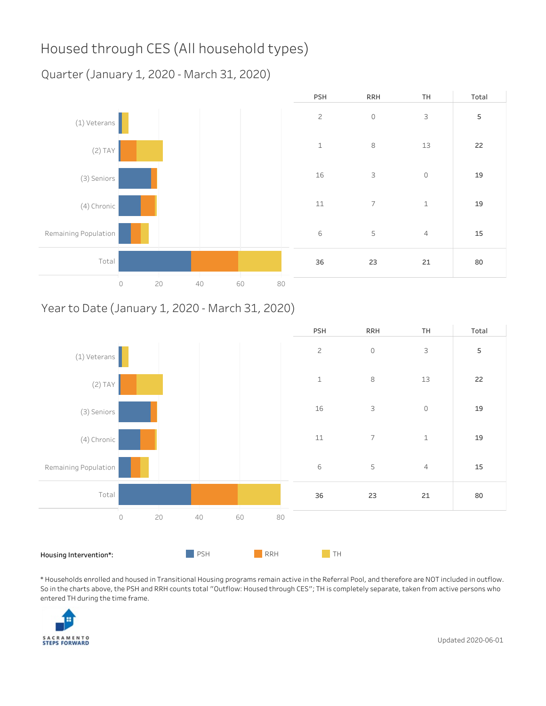## Housed through CES (All household types)

Quarter (January 1, 2020 - March 31, 2020)



#### Year to Date (January 1, 2020 - March 31, 2020)



\*HouseholdsenrolledandhousedinTransitionalHousingprogramsremainactiveintheReferralPool,andthereforeareNOTincludedinoutflow. So in the charts above, the PSH and RRH counts total "Outflow: Housed through CES"; TH is completely separate, taken from active persons who entered TH during the time frame.

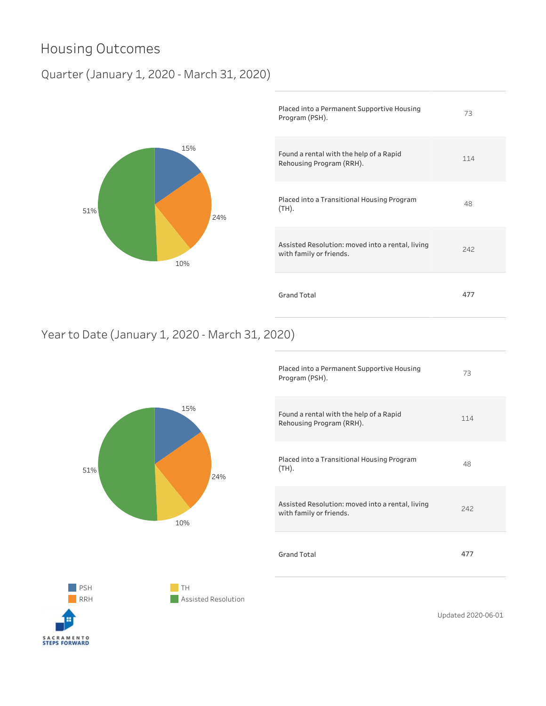## Housing Outcomes

#### Quarter(January1,2020-March31,2020)



| Placed into a Permanent Supportive Housing<br>Program (PSH).                | 73  |
|-----------------------------------------------------------------------------|-----|
| Found a rental with the help of a Rapid<br>Rehousing Program (RRH).         | 114 |
| Placed into a Transitional Housing Program<br>$(TH)$ .                      | 48  |
| Assisted Resolution: moved into a rental, living<br>with family or friends. | 242 |
| Grand Total                                                                 | 477 |

#### Year to Date (January 1, 2020 - March 31, 2020)



| Placed into a Permanent Supportive Housing<br>Program (PSH).                | 73  |
|-----------------------------------------------------------------------------|-----|
| Found a rental with the help of a Rapid<br>Rehousing Program (RRH).         | 114 |
| Placed into a Transitional Housing Program<br>$(TH)$ .                      | 48  |
| Assisted Resolution: moved into a rental, living<br>with family or friends. | 242 |
| <b>Grand Total</b>                                                          | 477 |
|                                                                             |     |



 $\blacksquare$  TH **Assisted Resolution**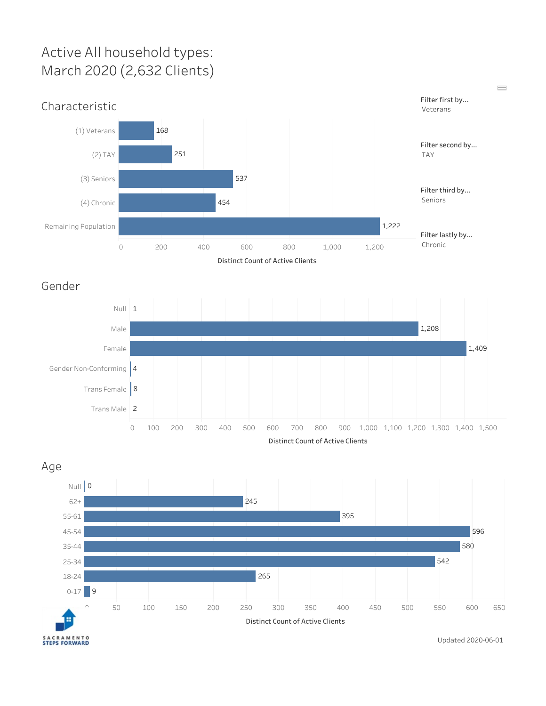## Active All household types: March 2020 (2,632 Clients)



 $\qquad \qquad \blacksquare$ 

Distinct Count of Active Clients

Gender



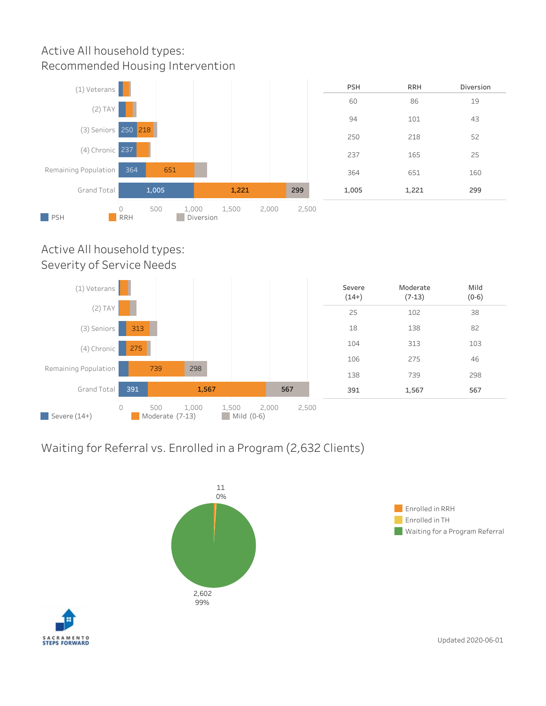#### Active All household types: Recommended Housing Intervention



#### Active All household types: Severity of Service Needs



#### Waiting for Referral vs. Enrolled in a Program (2,632 Clients)





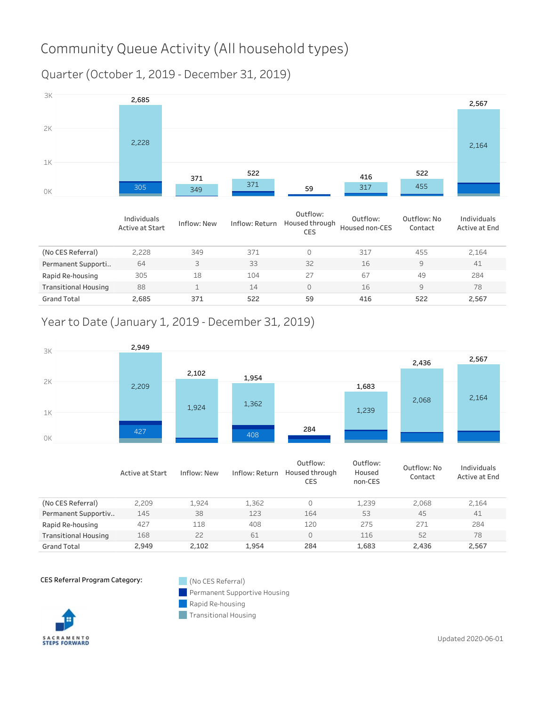## Community Queue Activity (All household types)

Quarter(October1,2019-December31,2019)



|                             | Individuals<br>Active at Start | Inflow: New | Inflow: Return | Outflow:<br>Housed through<br><b>CES</b> | Outflow:<br>Housed non-CES | Outflow: No<br>Contact | Individuals<br>Active at End |
|-----------------------------|--------------------------------|-------------|----------------|------------------------------------------|----------------------------|------------------------|------------------------------|
| (No CES Referral)           | 2.228                          | 349         | 371            | 0                                        | 317                        | 455                    | 2,164                        |
| Permanent Supporti          | 64                             | 3           | 33             | 32                                       | 16                         | 9                      | 41                           |
| Rapid Re-housing            | 305                            | 18          | 104            | 27                                       | 67                         | 49                     | 284                          |
| <b>Transitional Housing</b> | 88                             |             | 14             | 0                                        | 16                         | 9                      | 78                           |
| <b>Grand Total</b>          | 2,685                          | 371         | 522            | 59                                       | 416                        | 522                    | 2,567                        |

#### Yearto Date (January 1, 2019 - December 31, 2019)



|                             | Active at Start | Inflow: New | Inflow: Return | Outflow:<br>Housed through<br>CES | Outflow:<br>Housed<br>non-CES | Outflow: No<br>Contact | Individuals<br>Active at End |
|-----------------------------|-----------------|-------------|----------------|-----------------------------------|-------------------------------|------------------------|------------------------------|
| (No CES Referral)           | 2.209           | 1.924       | 1.362          | $\Omega$                          | 1.239                         | 2.068                  | 2.164                        |
| Permanent Supportiv         | 145             | 38          | 123            | 164                               | 53                            | 45                     | 41                           |
| Rapid Re-housing            | 427             | 118         | 408            | 120                               | 275                           | 271                    | 284                          |
| <b>Transitional Housing</b> | 168             | 22          | 61             | $\Omega$                          | 116                           | 52                     | 78                           |
| <b>Grand Total</b>          | 2.949           | 2.102       | 1.954          | 284                               | 1,683                         | 2,436                  | 2,567                        |

CES Referral Program Category: (No CES Referral)

Permanent Supportive Housing ×.

Rapid Re-housing



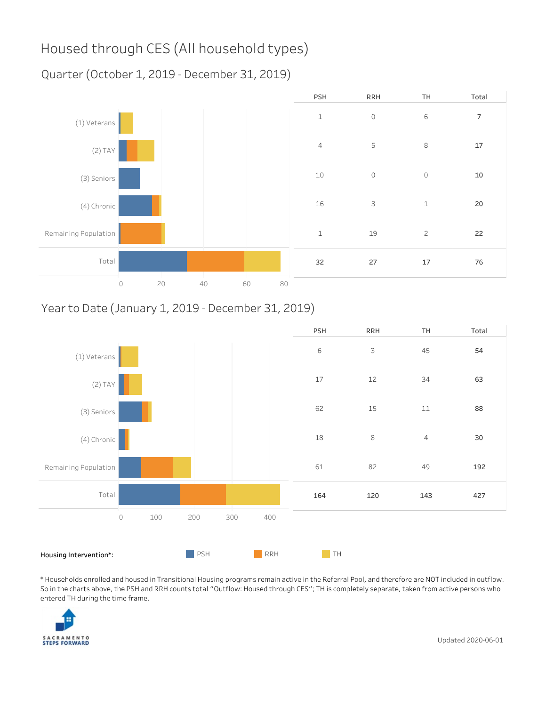## Housed through CES (All household types)

Quarter(October1,2019-December31,2019)



#### Year to Date (January 1, 2019 - December 31, 2019)



\*HouseholdsenrolledandhousedinTransitionalHousingprogramsremainactiveintheReferralPool,andthereforeareNOTincludedinoutflow. So in the charts above, the PSH and RRH counts total "Outflow: Housed through CES"; TH is completely separate, taken from active persons who entered TH during the time frame.

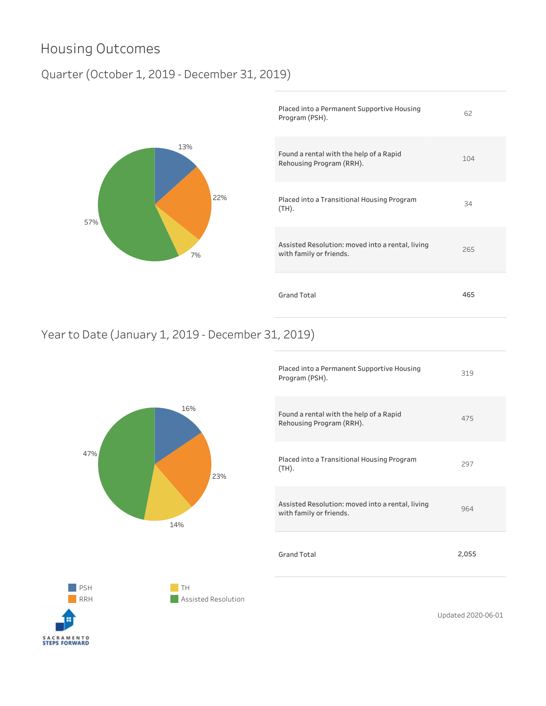### Housing Outcomes

#### Quarter (October 1, 2019 - December 31, 2019)



| Placed into a Permanent Supportive Housing<br>Program (PSH).                | 62  |
|-----------------------------------------------------------------------------|-----|
| Found a rental with the help of a Rapid<br>Rehousing Program (RRH).         | 104 |
| Placed into a Transitional Housing Program<br>$(TH)$ .                      | 34  |
| Assisted Resolution: moved into a rental, living<br>with family or friends. | 265 |
| <b>Grand Total</b>                                                          | 465 |

#### Yearto Date (January 1, 2019 - December 31, 2019)



| Placed into a Permanent Supportive Housing<br>Program (PSH).                | 319   |
|-----------------------------------------------------------------------------|-------|
| Found a rental with the help of a Rapid<br>Rehousing Program (RRH).         | 475   |
| Placed into a Transitional Housing Program<br>$(TH)$ .                      | 297   |
| Assisted Resolution: moved into a rental, living<br>with family or friends. | 964   |
| <b>Grand Total</b>                                                          | 2,055 |
|                                                                             |       |



 $\blacksquare$  TH **Assisted Resolution**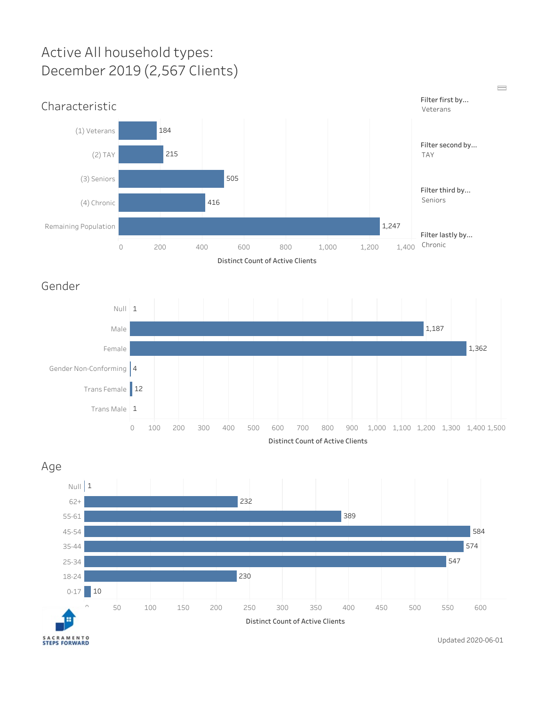## Active All household types: December 2019 (2,567 Clients)



 $\qquad \qquad \blacksquare$ 

Distinct Count of Active Clients

Gender